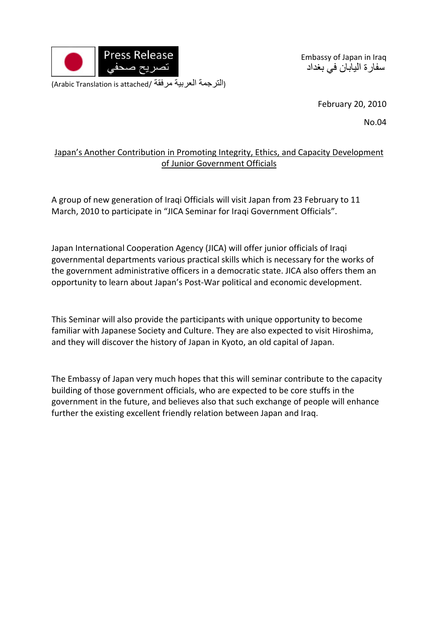

Embassy of Japan in Iraq سفارة اليابان في بغداد

(Arabic Translation is attached/ مرفقة العربية الترجمة(

February 20, 2010

No.04

## Japan's Another Contribution in Promoting Integrity, Ethics, and Capacity Development of Junior Government Officials

A group of new generation of Iraqi Officials will visit Japan from 23 February to 11 March, 2010 to participate in "JICA Seminar for Iraqi Government Officials".

Japan International Cooperation Agency (JICA) will offer junior officials of Iraqi governmental departments various practical skills which is necessary for the works of the government administrative officers in a democratic state. JICA also offers them an opportunity to learn about Japan's Post‐War political and economic development.

This Seminar will also provide the participants with unique opportunity to become familiar with Japanese Society and Culture. They are also expected to visit Hiroshima, and they will discover the history of Japan in Kyoto, an old capital of Japan.

The Embassy of Japan very much hopes that this will seminar contribute to the capacity building of those government officials, who are expected to be core stuffs in the government in the future, and believes also that such exchange of people will enhance further the existing excellent friendly relation between Japan and Iraq.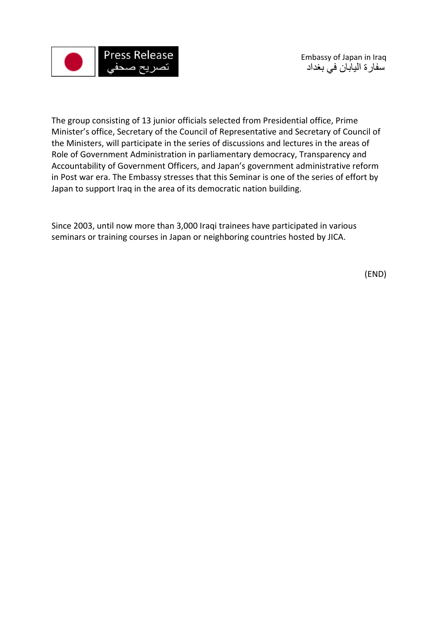

The group consisting of 13 junior officials selected from Presidential office, Prime Minister's office, Secretary of the Council of Representative and Secretary of Council of the Ministers, will participate in the series of discussions and lectures in the areas of Role of Government Administration in parliamentary democracy, Transparency and Accountability of Government Officers, and Japan's government administrative reform in Post war era. The Embassy stresses that this Seminar is one of the series of effort by Japan to support Iraq in the area of its democratic nation building.

Since 2003, until now more than 3,000 Iraqi trainees have participated in various seminars or training courses in Japan or neighboring countries hosted by JICA.

(END)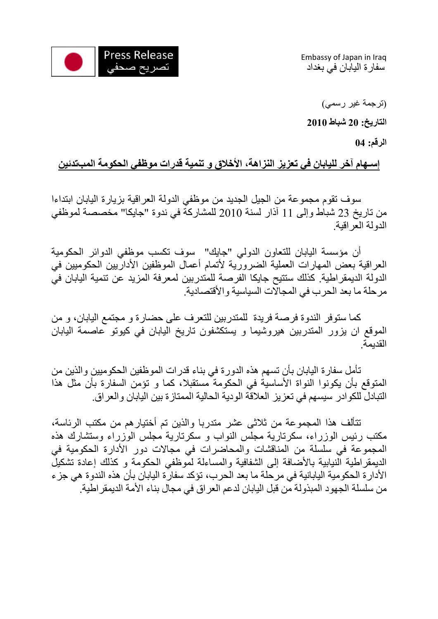

Embassy of Japan in Iraq سفارة اليابان في بغداد

(ترجمة غير رسمي)

**التاريخ: 20 شباط 2010** 

**الرقم: 04** 

## **إسـهام آخر لليابان في تعزيز النزاهة، الأخلاق و تنمية قدرات موظفي الحكومة المبتدئين**

 سوف تقوم مجموعة من الجيل الجديد من موظفي الدولة العراقية بزيارة اليابان ابتداءا من تاريخ 23 شباط وإلى 11 آذار لسنة 2010 للمشارآة في ندوة "جايكا" مخصصة لموظفي الدولة العراقية.

 أن مؤسسة اليابان للتعاون الدولي "جايك" سوف تكسب موظفي الدوائر الحكومية العراقية بعض المهارات العملية الضرورية لأتمام أعمال الموظفين الأداريين الحكوميين في الدولة الديمقر اطية. كذلك ستتيح جايكا الفرصة للمتدربين لمعرفة المزيد عن تنمية اليابان في مرحلة ما بعد الحرب في المجالات السياسية والأقتصادية.

آما ستوفر الندوة فرصة فريدة للمتدربين للتعرف على حضارة و مجتمع اليابان، و من الموقع ان يزور المتدربين هيروشيما و يستكشفون تاريخ اليابان في كيوتو عاصمة اليابان القديمة.

تأمل سفارة اليابان بأن تسهم هذه الدورة في بناء قدرات الموظفين الحكوميين والذين من المتوقع بأن يكونوا النواة الأساسية في الحكومة مستقبلا، كما و تؤمن السفارة بأن مثل هذا التبادل للكوادر سيسهم في تعزيز العلاقة الودية الحالية الممتازة بين اليابان والعراق.

تتألف هذا المجموعة من ثلاثى عشر متدربا والذين تم أختيارهم من مكتب الرئاسة، مكتب رئيس الوزراء، سكرتارية مجلس النواب و سكرتارية مجلس الوزراء وستشارك هذه المجموعة في سلسلة من المناقشات والمحاضرات في مجالات دور الأدارة الحكومية في الديمقر اطية النيابية بالأضافة إلى الشفافية والمساءلة لموظفي الحكومة و كذلك إعادة تشكيل الأدارة الحكومية اليابانية في مرحلة ما بعد الحرب، تؤكد سفارة اليابان بأن هذه الندوة هي جزء من سلسلة الجهود المبذولة من قبل اليابان لدعم العراق في مجال بناء الأمة الديمقراطية.